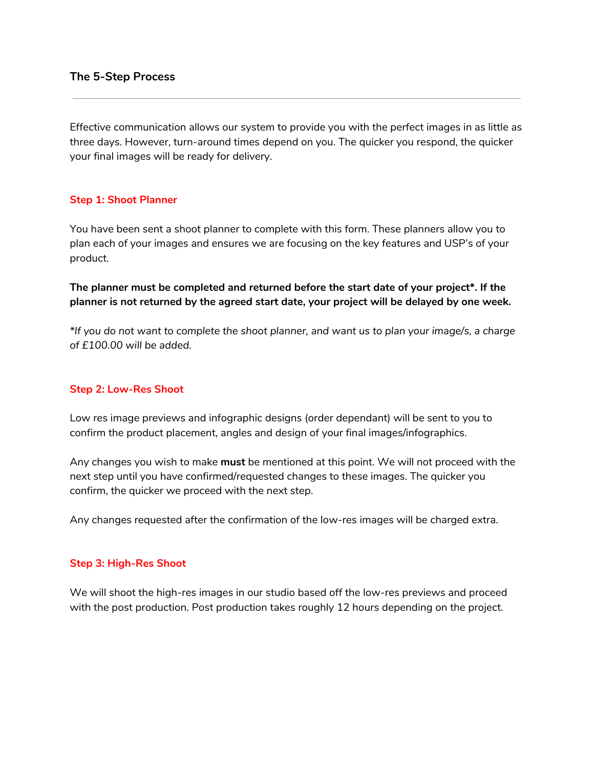## **The 5-Step Process**

Effective communication allows our system to provide you with the perfect images in as little as three days. However, turn-around times depend on you. The quicker you respond, the quicker your final images will be ready for delivery.

## **Step 1: Shoot Planner**

You have been sent a shoot planner to complete with this form. These planners allow you to plan each of your images and ensures we are focusing on the key features and USP's of your product.

**The planner must be completed and returned before the start date of your project\*. If the planner is not returned by the agreed start date, your project will be delayed by one week.**

\*If you do not want to complete the shoot planner, and want us to plan your image/s, a charge *of £100.00 will be added.*

### **Step 2: Low-Res Shoot**

Low res image previews and infographic designs (order dependant) will be sent to you to confirm the product placement, angles and design of your final images/infographics.

Any changes you wish to make **must** be mentioned at this point. We will not proceed with the next step until you have confirmed/requested changes to these images. The quicker you confirm, the quicker we proceed with the next step.

Any changes requested after the confirmation of the low-res images will be charged extra.

#### **Step 3: High-Res Shoot**

We will shoot the high-res images in our studio based off the low-res previews and proceed with the post production. Post production takes roughly 12 hours depending on the project.